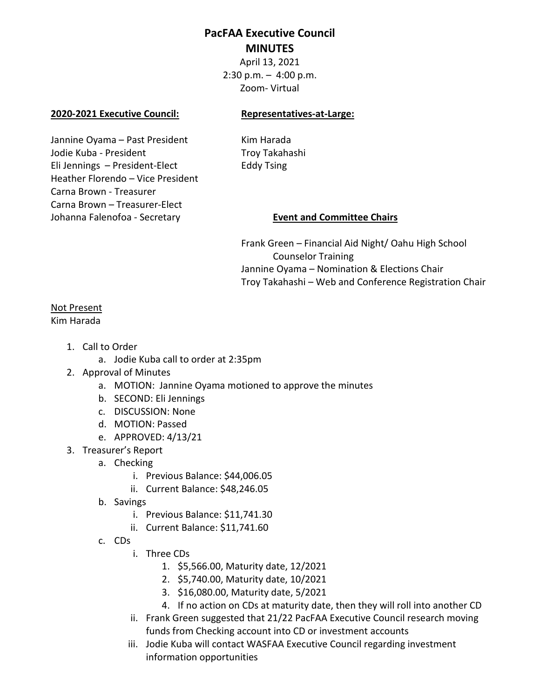# **PacFAA Executive Council MINUTES**

April 13, 2021  $2:30$  p.m.  $-4:00$  p.m. Zoom- Virtual

## **2020-2021 Executive Council: Representatives-at-Large:**

Jannine Oyama – Past President Kim Harada Jodie Kuba - President Troy Takahashi Eli Jennings – President-Elect Eddy Tsing Heather Florendo – Vice President Carna Brown - Treasurer Carna Brown – Treasurer-Elect Johanna Falenofoa - Secretary **Event and Committee Chairs**

Frank Green – Financial Aid Night/ Oahu High School Counselor Training Jannine Oyama – Nomination & Elections Chair Troy Takahashi – Web and Conference Registration Chair

## Not Present

Kim Harada

- 1. Call to Order
	- a. Jodie Kuba call to order at 2:35pm
- 2. Approval of Minutes
	- a. MOTION: Jannine Oyama motioned to approve the minutes
	- b. SECOND: Eli Jennings
	- c. DISCUSSION: None
	- d. MOTION: Passed
	- e. APPROVED: 4/13/21
- 3. Treasurer's Report
	- a. Checking
		- i. Previous Balance: \$44,006.05
		- ii. Current Balance: \$48,246.05
	- b. Savings
		- i. Previous Balance: \$11,741.30
		- ii. Current Balance: \$11,741.60
	- c. CDs
		- i. Three CDs
			- 1. \$5,566.00, Maturity date, 12/2021
			- 2. \$5,740.00, Maturity date, 10/2021
			- 3. \$16,080.00, Maturity date, 5/2021
			- 4. If no action on CDs at maturity date, then they will roll into another CD
		- ii. Frank Green suggested that 21/22 PacFAA Executive Council research moving funds from Checking account into CD or investment accounts
		- iii. Jodie Kuba will contact WASFAA Executive Council regarding investment information opportunities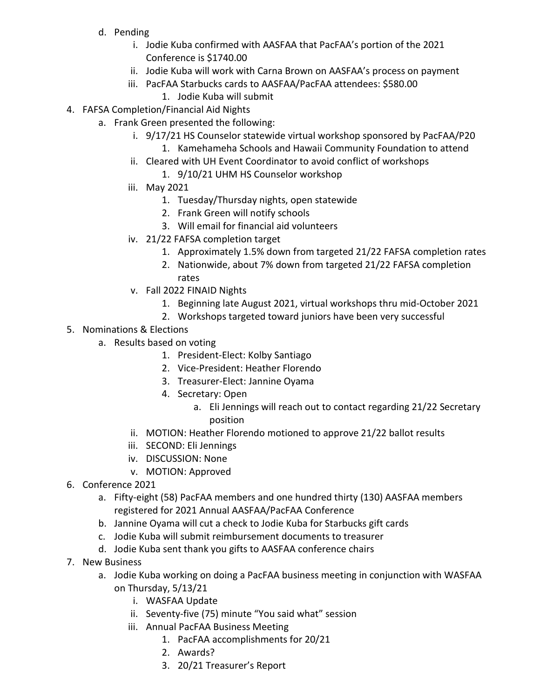- d. Pending
	- i. Jodie Kuba confirmed with AASFAA that PacFAA's portion of the 2021 Conference is \$1740.00
	- ii. Jodie Kuba will work with Carna Brown on AASFAA's process on payment
	- iii. PacFAA Starbucks cards to AASFAA/PacFAA attendees: \$580.00
		- 1. Jodie Kuba will submit
- 4. FAFSA Completion/Financial Aid Nights
	- a. Frank Green presented the following:
		- i. 9/17/21 HS Counselor statewide virtual workshop sponsored by PacFAA/P20
			- 1. Kamehameha Schools and Hawaii Community Foundation to attend
		- ii. Cleared with UH Event Coordinator to avoid conflict of workshops
			- 1. 9/10/21 UHM HS Counselor workshop
		- iii. May 2021
			- 1. Tuesday/Thursday nights, open statewide
			- 2. Frank Green will notify schools
			- 3. Will email for financial aid volunteers
		- iv. 21/22 FAFSA completion target
			- 1. Approximately 1.5% down from targeted 21/22 FAFSA completion rates
			- 2. Nationwide, about 7% down from targeted 21/22 FAFSA completion rates
		- v. Fall 2022 FINAID Nights
			- 1. Beginning late August 2021, virtual workshops thru mid-October 2021
			- 2. Workshops targeted toward juniors have been very successful
- 5. Nominations & Elections
	- a. Results based on voting
		- 1. President-Elect: Kolby Santiago
		- 2. Vice-President: Heather Florendo
		- 3. Treasurer-Elect: Jannine Oyama
		- 4. Secretary: Open
			- a. Eli Jennings will reach out to contact regarding 21/22 Secretary position
		- ii. MOTION: Heather Florendo motioned to approve 21/22 ballot results
		- iii. SECOND: Eli Jennings
		- iv. DISCUSSION: None
		- v. MOTION: Approved
- 6. Conference 2021
	- a. Fifty-eight (58) PacFAA members and one hundred thirty (130) AASFAA members registered for 2021 Annual AASFAA/PacFAA Conference
	- b. Jannine Oyama will cut a check to Jodie Kuba for Starbucks gift cards
	- c. Jodie Kuba will submit reimbursement documents to treasurer
	- d. Jodie Kuba sent thank you gifts to AASFAA conference chairs
- 7. New Business
	- a. Jodie Kuba working on doing a PacFAA business meeting in conjunction with WASFAA on Thursday, 5/13/21
		- i. WASFAA Update
		- ii. Seventy-five (75) minute "You said what" session
		- iii. Annual PacFAA Business Meeting
			- 1. PacFAA accomplishments for 20/21
			- 2. Awards?
			- 3. 20/21 Treasurer's Report